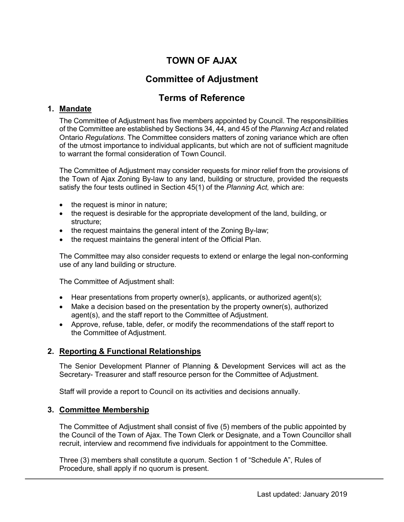# **TOWN OF AJAX**

# **Committee of Adjustment**

# **Terms of Reference**

# **1. Mandate**

The Committee of Adjustment has five members appointed by Council. The responsibilities of the Committee are established by Sections 34, 44, and 45 of the *Planning Act* and related Ontario *Regulations*. The Committee considers matters of zoning variance which are often of the utmost importance to individual applicants, but which are not of sufficient magnitude to warrant the formal consideration of Town Council.

The Committee of Adjustment may consider requests for minor relief from the provisions of the Town of Ajax Zoning By-law to any land, building or structure, provided the requests satisfy the four tests outlined in Section 45(1) of the *Planning Act,* which are:

- the request is minor in nature;
- the request is desirable for the appropriate development of the land, building, or structure;
- the request maintains the general intent of the Zoning By-law;
- the request maintains the general intent of the Official Plan.

The Committee may also consider requests to extend or enlarge the legal non-conforming use of any land building or structure.

The Committee of Adjustment shall:

- Hear presentations from property owner(s), applicants, or authorized agent(s);
- Make a decision based on the presentation by the property owner(s), authorized agent(s), and the staff report to the Committee of Adjustment.
- Approve, refuse, table, defer, or modify the recommendations of the staff report to the Committee of Adjustment.

# **2. Reporting & Functional Relationships**

The Senior Development Planner of Planning & Development Services will act as the Secretary- Treasurer and staff resource person for the Committee of Adjustment.

Staff will provide a report to Council on its activities and decisions annually.

# **3. Committee Membership**

The Committee of Adjustment shall consist of five (5) members of the public appointed by the Council of the Town of Ajax. The Town Clerk or Designate, and a Town Councillor shall recruit, interview and recommend five individuals for appointment to the Committee.

Three (3) members shall constitute a quorum. Section 1 of "Schedule A", Rules of Procedure, shall apply if no quorum is present.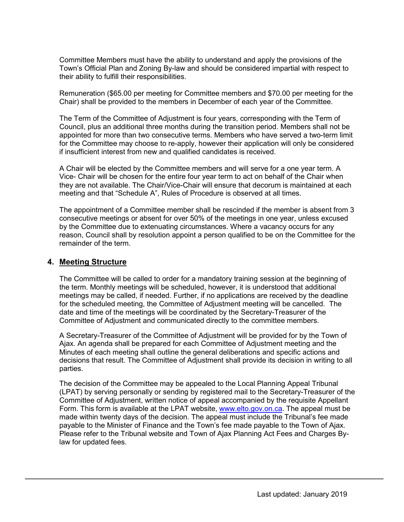Committee Members must have the ability to understand and apply the provisions of the Town's Official Plan and Zoning By-law and should be considered impartial with respect to their ability to fulfill their responsibilities.

Remuneration (\$65.00 per meeting for Committee members and \$70.00 per meeting for the Chair) shall be provided to the members in December of each year of the Committee.

The Term of the Committee of Adjustment is four years, corresponding with the Term of Council, plus an additional three months during the transition period. Members shall not be appointed for more than two consecutive terms. Members who have served a two-term limit for the Committee may choose to re-apply, however their application will only be considered if insufficient interest from new and qualified candidates is received.

A Chair will be elected by the Committee members and will serve for a one year term. A Vice- Chair will be chosen for the entire four year term to act on behalf of the Chair when they are not available. The Chair/Vice-Chair will ensure that decorum is maintained at each meeting and that "Schedule A", Rules of Procedure is observed at all times.

The appointment of a Committee member shall be rescinded if the member is absent from 3 consecutive meetings or absent for over 50% of the meetings in one year, unless excused by the Committee due to extenuating circumstances. Where a vacancy occurs for any reason, Council shall by resolution appoint a person qualified to be on the Committee for the remainder of the term.

# **4. Meeting Structure**

The Committee will be called to order for a mandatory training session at the beginning of the term. Monthly meetings will be scheduled, however, it is understood that additional meetings may be called, if needed. Further, if no applications are received by the deadline for the scheduled meeting, the Committee of Adjustment meeting will be cancelled. The date and time of the meetings will be coordinated by the Secretary-Treasurer of the Committee of Adjustment and communicated directly to the committee members.

A Secretary-Treasurer of the Committee of Adjustment will be provided for by the Town of Ajax. An agenda shall be prepared for each Committee of Adjustment meeting and the Minutes of each meeting shall outline the general deliberations and specific actions and decisions that result. The Committee of Adjustment shall provide its decision in writing to all parties.

The decision of the Committee may be appealed to the Local Planning Appeal Tribunal (LPAT) by serving personally or sending by registered mail to the Secretary-Treasurer of the Committee of Adjustment, written notice of appeal accompanied by the requisite Appellant Form. This form is available at the LPAT website, [www.elto.gov.on.ca.](http://www.elto.gov.on.ca/) The appeal must be made within twenty days of the decision. The appeal must include the Tribunal's fee made payable to the Minister of Finance and the Town's fee made payable to the Town of Ajax. Please refer to the Tribunal website and Town of Ajax Planning Act Fees and Charges Bylaw for updated fees.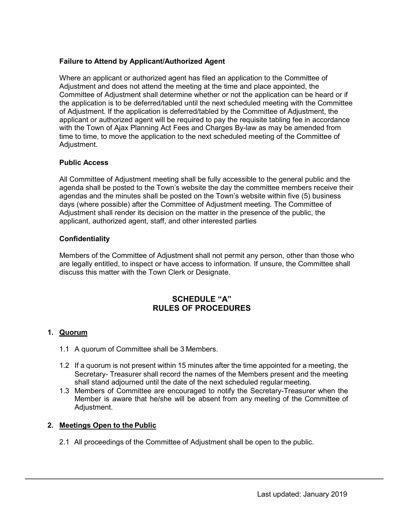# **Failure to Attend by Applicant/Authorized Agent**

Where an applicant or authorized agent has filed an application to the Committee of Adjustment and does not attend the meeting at the time and place appointed, the Committee of Adjustment shall determine whether or not the application can be heard or if the application is to be deferred/tabled until the next scheduled meeting with the Committee of Adjustment. If the application is deferred/tabled by the Committee of Adjustment, the applicant or authorized agent will be required to pay the requisite tabling fee in accordance with the Town of Ajax Planning Act Fees and Charges By-law as may be amended from time to time, to move the application to the next scheduled meeting of the Committee of Adjustment.

# **Public Access**

All Committee of Adjustment meeting shall be fully accessible to the general public and the agenda shall be posted to the Town's website the day the committee members receive their agendas and the minutes shall be posted on the Town's website within five (5) business days (where possible) after the Committee of Adjustment meeting. The Committee of Adjustment shall render its decision on the matter in the presence of the public, the applicant, authorized agent, staff, and other interested parties

# **Confidentiality**

Members of the Committee of Adjustment shall not permit any person, other than those who are legally entitled, to inspect or have access to information. If unsure, the Committee shall discuss this matter with the Town Clerk or Designate.

# **SCHEDULE "A" RULES OF PROCEDURES**

# **1. Quorum**

- 1.1 A quorum of Committee shall be 3 Members.
- 1.2 If a quorum is not present within 15 minutes after the time appointed for a meeting, the Secretary- Treasurer shall record the names of the Members present and the meeting shall stand adjourned until the date of the next scheduled regularmeeting.
- 1.3 Members of Committee are encouraged to notify the Secretary-Treasurer when the Member is aware that he/she will be absent from any meeting of the Committee of Adjustment.

#### **2. Meetings Open to the Public**

2.1 All proceedings of the Committee of Adjustment shall be open to the public.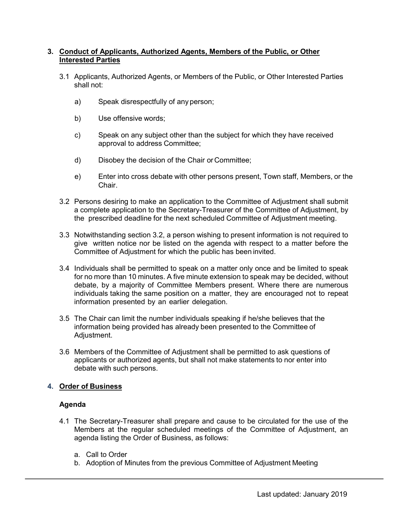# **3. Conduct of Applicants, Authorized Agents, Members of the Public, or Other Interested Parties**

- 3.1 Applicants, Authorized Agents, or Members of the Public, or Other Interested Parties shall not:
	- a) Speak disrespectfully of any person;
	- b) Use offensive words;
	- c) Speak on any subject other than the subject for which they have received approval to address Committee;
	- d) Disobey the decision of the Chair or Committee;
	- e) Enter into cross debate with other persons present, Town staff, Members, or the Chair.
- 3.2 Persons desiring to make an application to the Committee of Adjustment shall submit a complete application to the Secretary-Treasurer of the Committee of Adjustment, by the prescribed deadline for the next scheduled Committee of Adjustment meeting.
- 3.3 Notwithstanding section 3.2, a person wishing to present information is not required to give written notice nor be listed on the agenda with respect to a matter before the Committee of Adjustment for which the public has been invited.
- 3.4 Individuals shall be permitted to speak on a matter only once and be limited to speak for no more than 10 minutes. A five minute extension to speak may be decided, without debate, by a majority of Committee Members present. Where there are numerous individuals taking the same position on a matter, they are encouraged not to repeat information presented by an earlier delegation.
- 3.5 The Chair can limit the number individuals speaking if he/she believes that the information being provided has already been presented to the Committee of Adjustment.
- 3.6 Members of the Committee of Adjustment shall be permitted to ask questions of applicants or authorized agents, but shall not make statements to nor enter into debate with such persons.

# **4. Order of Business**

# **Agenda**

- 4.1 The Secretary-Treasurer shall prepare and cause to be circulated for the use of the Members at the regular scheduled meetings of the Committee of Adjustment, an agenda listing the Order of Business, as follows:
	- a. Call to Order
	- b. Adoption of Minutes from the previous Committee of Adjustment Meeting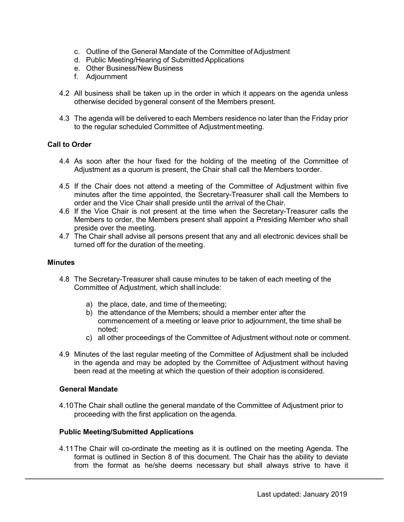- c. Outline of the General Mandate of the Committee ofAdjustment
- d. Public Meeting/Hearing of SubmittedApplications
- e. Other Business/New Business
- f. Adjournment
- 4.2 All business shall be taken up in the order in which it appears on the agenda unless otherwise decided bygeneral consent of the Members present.
- 4.3 The agenda will be delivered to each Members residence no later than the Friday prior to the regular scheduled Committee of Adjustmentmeeting.

#### **Call to Order**

- 4.4 As soon after the hour fixed for the holding of the meeting of the Committee of Adjustment as a quorum is present, the Chair shall call the Members toorder.
- 4.5 If the Chair does not attend a meeting of the Committee of Adjustment within five minutes after the time appointed, the Secretary-Treasurer shall call the Members to order and the Vice Chair shall preside until the arrival of theChair.
- 4.6 If the Vice Chair is not present at the time when the Secretary-Treasurer calls the Members to order, the Members present shall appoint a Presiding Member who shall preside over the meeting.
- 4.7 The Chair shall advise all persons present that any and all electronic devices shall be turned off for the duration of the meeting.

#### **Minutes**

- 4.8 The Secretary-Treasurer shall cause minutes to be taken of each meeting of the Committee of Adjustment, which shall include:
	- a) the place, date, and time of themeeting;
	- b) the attendance of the Members; should a member enter after the commencement of a meeting or leave prior to adjournment, the time shall be noted;
	- c) all other proceedings of the Committee of Adjustment without note or comment.
- 4.9 Minutes of the last regular meeting of the Committee of Adjustment shall be included in the agenda and may be adopted by the Committee of Adjustment without having been read at the meeting at which the question of their adoption is considered.

# **General Mandate**

4.10The Chair shall outline the general mandate of the Committee of Adjustment prior to proceeding with the first application on the agenda.

#### **Public Meeting/Submitted Applications**

4.11The Chair will co-ordinate the meeting as it is outlined on the meeting Agenda. The format is outlined in Section 8 of this document. The Chair has the ability to deviate from the format as he/she deems necessary but shall always strive to have it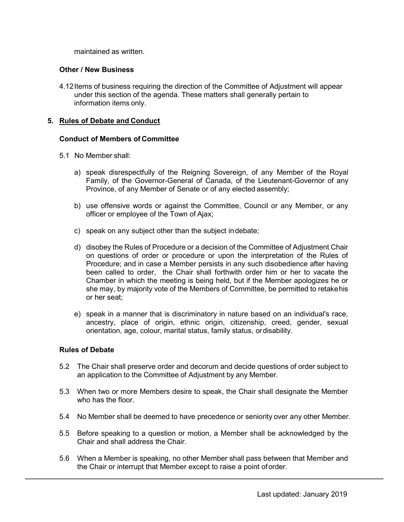maintained as written.

### **Other / New Business**

4.12Items of business requiring the direction of the Committee of Adjustment will appear under this section of the agenda. These matters shall generally pertain to information items only.

# **5. Rules of Debate and Conduct**

#### **Conduct of Members of Committee**

- 5.1 No Member shall:
	- a) speak disrespectfully of the Reigning Sovereign, of any Member of the Royal Family, of the Governor-General of Canada, of the Lieutenant-Governor of any Province, of any Member of Senate or of any elected assembly;
	- b) use offensive words or against the Committee, Council or any Member, or any officer or employee of the Town of Ajax;
	- c) speak on any subject other than the subject indebate;
	- d) disobey the Rules of Procedure or a decision of the Committee of Adjustment Chair on questions of order or procedure or upon the interpretation of the Rules of Procedure; and in case a Member persists in any such disobedience after having been called to order, the Chair shall forthwith order him or her to vacate the Chamber in which the meeting is being held, but if the Member apologizes he or she may, by majority vote of the Members of Committee, be permitted to retakehis or her seat;
	- e) speak in a manner that is discriminatory in nature based on an individual's race, ancestry, place of origin, ethnic origin, citizenship, creed, gender, sexual orientation, age, colour, marital status, family status, ordisability.

# **Rules of Debate**

- 5.2 The Chair shall preserve order and decorum and decide questions of order subject to an application to the Committee of Adjustment by any Member.
- 5.3 When two or more Members desire to speak, the Chair shall designate the Member who has the floor.
- 5.4 No Member shall be deemed to have precedence or seniority over any other Member.
- 5.5 Before speaking to a question or motion, a Member shall be acknowledged by the Chair and shall address the Chair.
- 5.6 When a Member is speaking, no other Member shall pass between that Member and the Chair or interrupt that Member except to raise a point oforder.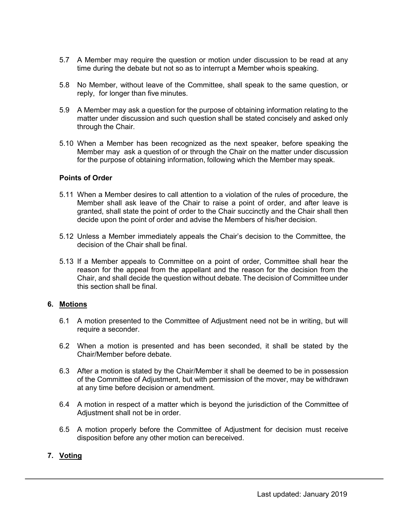- 5.7 A Member may require the question or motion under discussion to be read at any time during the debate but not so as to interrupt a Member whois speaking.
- 5.8 No Member, without leave of the Committee, shall speak to the same question, or reply, for longer than five minutes.
- 5.9 A Member may ask a question for the purpose of obtaining information relating to the matter under discussion and such question shall be stated concisely and asked only through the Chair.
- 5.10 When a Member has been recognized as the next speaker, before speaking the Member may ask a question of or through the Chair on the matter under discussion for the purpose of obtaining information, following which the Member may speak.

#### **Points of Order**

- 5.11 When a Member desires to call attention to a violation of the rules of procedure, the Member shall ask leave of the Chair to raise a point of order, and after leave is granted, shall state the point of order to the Chair succinctly and the Chair shall then decide upon the point of order and advise the Members of his/her decision.
- 5.12 Unless a Member immediately appeals the Chair's decision to the Committee, the decision of the Chair shall be final.
- 5.13 If a Member appeals to Committee on a point of order, Committee shall hear the reason for the appeal from the appellant and the reason for the decision from the Chair, and shall decide the question without debate. The decision of Committee under this section shall be final.

#### **6. Motions**

- 6.1 A motion presented to the Committee of Adjustment need not be in writing, but will require a seconder.
- 6.2 When a motion is presented and has been seconded, it shall be stated by the Chair/Member before debate.
- 6.3 After a motion is stated by the Chair/Member it shall be deemed to be in possession of the Committee of Adjustment, but with permission of the mover, may be withdrawn at any time before decision or amendment.
- 6.4 A motion in respect of a matter which is beyond the jurisdiction of the Committee of Adjustment shall not be in order.
- 6.5 A motion properly before the Committee of Adjustment for decision must receive disposition before any other motion can bereceived.

# **7. Voting**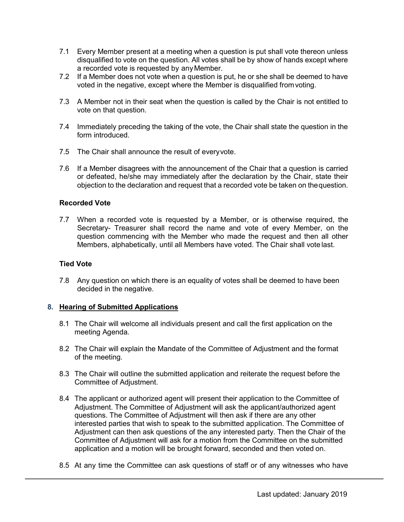- 7.1 Every Member present at a meeting when a question is put shall vote thereon unless disqualified to vote on the question. All votes shall be by show of hands except where a recorded vote is requested by anyMember.
- 7.2 If a Member does not vote when a question is put, he or she shall be deemed to have voted in the negative, except where the Member is disqualified fromvoting.
- 7.3 A Member not in their seat when the question is called by the Chair is not entitled to vote on that question.
- 7.4 Immediately preceding the taking of the vote, the Chair shall state the question in the form introduced.
- 7.5 The Chair shall announce the result of everyvote.
- 7.6 If a Member disagrees with the announcement of the Chair that a question is carried or defeated, he/she may immediately after the declaration by the Chair, state their objection to the declaration and request that a recorded vote be taken on thequestion.

#### **Recorded Vote**

7.7 When a recorded vote is requested by a Member, or is otherwise required, the Secretary- Treasurer shall record the name and vote of every Member, on the question commencing with the Member who made the request and then all other Members, alphabetically, until all Members have voted. The Chair shall vote last.

#### **Tied Vote**

7.8 Any question on which there is an equality of votes shall be deemed to have been decided in the negative.

# **8. Hearing of Submitted Applications**

- 8.1 The Chair will welcome all individuals present and call the first application on the meeting Agenda.
- 8.2 The Chair will explain the Mandate of the Committee of Adjustment and the format of the meeting.
- 8.3 The Chair will outline the submitted application and reiterate the request before the Committee of Adjustment.
- 8.4 The applicant or authorized agent will present their application to the Committee of Adjustment. The Committee of Adjustment will ask the applicant/authorized agent questions. The Committee of Adjustment will then ask if there are any other interested parties that wish to speak to the submitted application. The Committee of Adjustment can then ask questions of the any interested party. Then the Chair of the Committee of Adjustment will ask for a motion from the Committee on the submitted application and a motion will be brought forward, seconded and then voted on.
- 8.5 At any time the Committee can ask questions of staff or of any witnesses who have